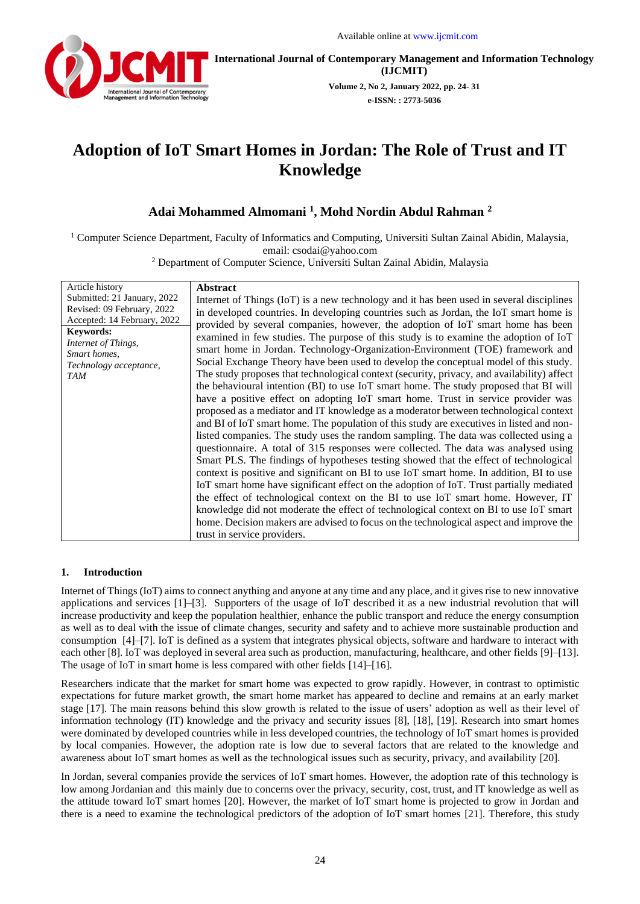

**International Journal of Contemporary Management and Information Technology (IJCMIT)**

> **Volume 2, No 2, January 2022, pp. 24- 31 e-ISSN: : 2773-5036**

# **Adoption of IoT Smart Homes in Jordan: The Role of Trust and IT Knowledge**

## **Adai Mohammed Almomani <sup>1</sup> , Mohd Nordin Abdul Rahman <sup>2</sup>**

<sup>1</sup> Computer Science Department, Faculty of Informatics and Computing, Universiti Sultan Zainal Abidin, Malaysia, email: csodai@yahoo.com

<sup>2</sup> Department of Computer Science, Universiti Sultan Zainal Abidin, Malaysia

| Article history<br>Submitted: 21 January, 2022<br>Revised: 09 February, 2022<br>Accepted: 14 February, 2022<br><b>Keywords:</b><br>Internet of Things,<br>Smart homes,<br>Technology acceptance, | <b>Abstract</b><br>Internet of Things (IoT) is a new technology and it has been used in several disciplines<br>in developed countries. In developing countries such as Jordan, the IoT smart home is<br>provided by several companies, however, the adoption of IoT smart home has been<br>examined in few studies. The purpose of this study is to examine the adoption of IoT<br>smart home in Jordan. Technology-Organization-Environment (TOE) framework and<br>Social Exchange Theory have been used to develop the conceptual model of this study.                                                                                                                                                                                                                                                                                                                                                                                                                                                                                                                                                                                                                                                                        |
|--------------------------------------------------------------------------------------------------------------------------------------------------------------------------------------------------|---------------------------------------------------------------------------------------------------------------------------------------------------------------------------------------------------------------------------------------------------------------------------------------------------------------------------------------------------------------------------------------------------------------------------------------------------------------------------------------------------------------------------------------------------------------------------------------------------------------------------------------------------------------------------------------------------------------------------------------------------------------------------------------------------------------------------------------------------------------------------------------------------------------------------------------------------------------------------------------------------------------------------------------------------------------------------------------------------------------------------------------------------------------------------------------------------------------------------------|
| <b>TAM</b>                                                                                                                                                                                       | The study proposes that technological context (security, privacy, and availability) affect<br>the behavioural intention (BI) to use IoT smart home. The study proposed that BI will<br>have a positive effect on adopting IoT smart home. Trust in service provider was<br>proposed as a mediator and IT knowledge as a moderator between technological context<br>and BI of IoT smart home. The population of this study are executives in listed and non-<br>listed companies. The study uses the random sampling. The data was collected using a<br>questionnaire. A total of 315 responses were collected. The data was analysed using<br>Smart PLS. The findings of hypotheses testing showed that the effect of technological<br>context is positive and significant on BI to use IoT smart home. In addition, BI to use<br>IoT smart home have significant effect on the adoption of IoT. Trust partially mediated<br>the effect of technological context on the BI to use IoT smart home. However, IT<br>knowledge did not moderate the effect of technological context on BI to use IoT smart<br>home. Decision makers are advised to focus on the technological aspect and improve the<br>trust in service providers. |

## **1. Introduction**

Internet of Things (IoT) aims to connect anything and anyone at any time and any place, and it gives rise to new innovative applications and services [1]–[3]. Supporters of the usage of IoT described it as a new industrial revolution that will increase productivity and keep the population healthier, enhance the public transport and reduce the energy consumption as well as to deal with the issue of climate changes, security and safety and to achieve more sustainable production and consumption [4]–[7]. IoT is defined as a system that integrates physical objects, software and hardware to interact with each other [8]. IoT was deployed in several area such as production, manufacturing, healthcare, and other fields [9]–[13]. The usage of IoT in smart home is less compared with other fields [14]–[16].

Researchers indicate that the market for smart home was expected to grow rapidly. However, in contrast to optimistic expectations for future market growth, the smart home market has appeared to decline and remains at an early market stage [17]. The main reasons behind this slow growth is related to the issue of users' adoption as well as their level of information technology (IT) knowledge and the privacy and security issues [8], [18], [19]. Research into smart homes were dominated by developed countries while in less developed countries, the technology of IoT smart homes is provided by local companies. However, the adoption rate is low due to several factors that are related to the knowledge and awareness about IoT smart homes as well as the technological issues such as security, privacy, and availability [20].

In Jordan, several companies provide the services of IoT smart homes. However, the adoption rate of this technology is low among Jordanian and this mainly due to concerns over the privacy, security, cost, trust, and IT knowledge as well as the attitude toward IoT smart homes [20]. However, the market of IoT smart home is projected to grow in Jordan and there is a need to examine the technological predictors of the adoption of IoT smart homes [21]. Therefore, this study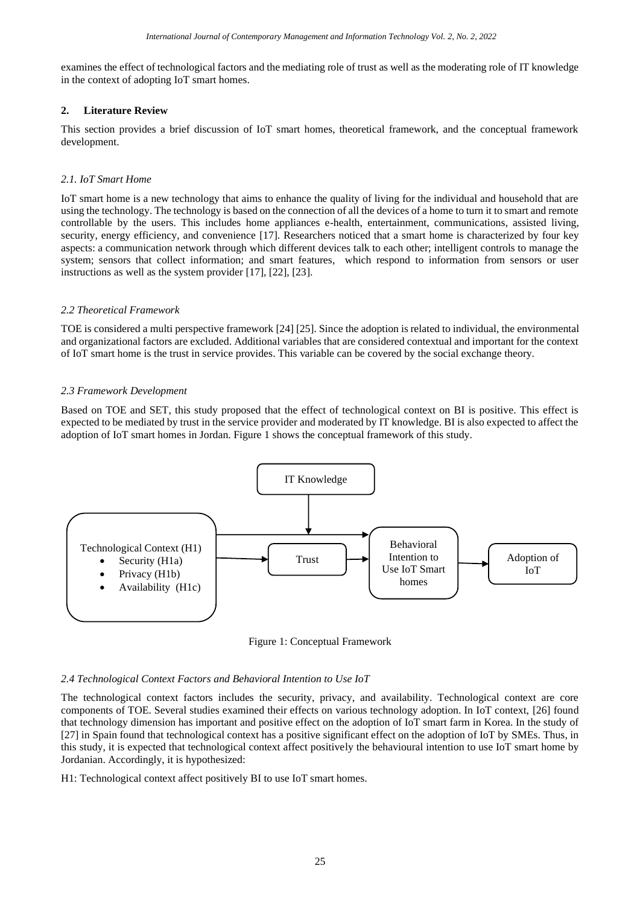examines the effect of technological factors and the mediating role of trust as well as the moderating role of IT knowledge in the context of adopting IoT smart homes.

## **2. Literature Review**

This section provides a brief discussion of IoT smart homes, theoretical framework, and the conceptual framework development.

## *2.1. IoT Smart Home*

IoT smart home is a new technology that aims to enhance the quality of living for the individual and household that are using the technology. The technology is based on the connection of all the devices of a home to turn it to smart and remote controllable by the users. This includes home appliances e-health, entertainment, communications, assisted living, security, energy efficiency, and convenience [17]. Researchers noticed that a smart home is characterized by four key aspects: a communication network through which different devices talk to each other; intelligent controls to manage the system; sensors that collect information; and smart features, which respond to information from sensors or user instructions as well as the system provider [17], [22], [23].

## *2.2 Theoretical Framework*

TOE is considered a multi perspective framework [24] [25]. Since the adoption is related to individual, the environmental and organizational factors are excluded. Additional variables that are considered contextual and important for the context of IoT smart home is the trust in service provides. This variable can be covered by the social exchange theory.

## *2.3 Framework Development*

Based on TOE and SET, this study proposed that the effect of technological context on BI is positive. This effect is expected to be mediated by trust in the service provider and moderated by IT knowledge. BI is also expected to affect the adoption of IoT smart homes in Jordan. Figure 1 shows the conceptual framework of this study.



Figure 1: Conceptual Framework

## *2.4 Technological Context Factors and Behavioral Intention to Use IoT*

The technological context factors includes the security, privacy, and availability. Technological context are core components of TOE. Several studies examined their effects on various technology adoption. In IoT context, [26] found that technology dimension has important and positive effect on the adoption of IoT smart farm in Korea. In the study of [27] in Spain found that technological context has a positive significant effect on the adoption of IoT by SMEs. Thus, in this study, it is expected that technological context affect positively the behavioural intention to use IoT smart home by Jordanian. Accordingly, it is hypothesized:

H1: Technological context affect positively BI to use IoT smart homes.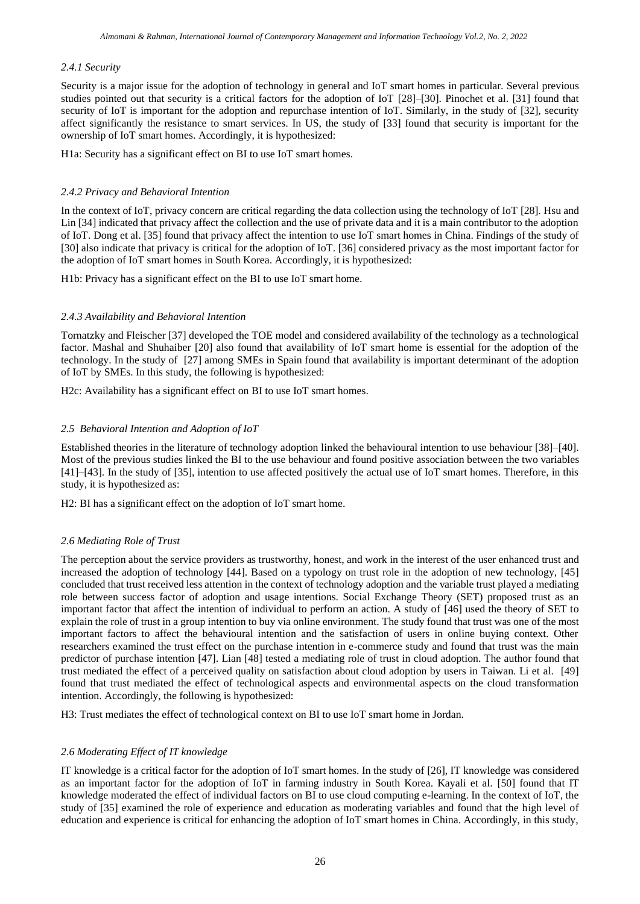#### *2.4.1 Security*

Security is a major issue for the adoption of technology in general and IoT smart homes in particular. Several previous studies pointed out that security is a critical factors for the adoption of IoT [28]–[30]. Pinochet et al. [31] found that security of IoT is important for the adoption and repurchase intention of IoT. Similarly, in the study of [32], security affect significantly the resistance to smart services. In US, the study of [33] found that security is important for the ownership of IoT smart homes. Accordingly, it is hypothesized:

H1a: Security has a significant effect on BI to use IoT smart homes.

#### *2.4.2 Privacy and Behavioral Intention*

In the context of IoT, privacy concern are critical regarding the data collection using the technology of IoT [28]. Hsu and Lin [34] indicated that privacy affect the collection and the use of private data and it is a main contributor to the adoption of IoT. Dong et al. [35] found that privacy affect the intention to use IoT smart homes in China. Findings of the study of [30] also indicate that privacy is critical for the adoption of IoT. [36] considered privacy as the most important factor for the adoption of IoT smart homes in South Korea. Accordingly, it is hypothesized:

H1b: Privacy has a significant effect on the BI to use IoT smart home.

#### *2.4.3 Availability and Behavioral Intention*

Tornatzky and Fleischer [37] developed the TOE model and considered availability of the technology as a technological factor. Mashal and Shuhaiber [20] also found that availability of IoT smart home is essential for the adoption of the technology. In the study of [27] among SMEs in Spain found that availability is important determinant of the adoption of IoT by SMEs. In this study, the following is hypothesized:

H2c: Availability has a significant effect on BI to use IoT smart homes.

#### *2.5 Behavioral Intention and Adoption of IoT*

Established theories in the literature of technology adoption linked the behavioural intention to use behaviour [38]–[40]. Most of the previous studies linked the BI to the use behaviour and found positive association between the two variables [41]–[43]. In the study of [35], intention to use affected positively the actual use of IoT smart homes. Therefore, in this study, it is hypothesized as:

H2: BI has a significant effect on the adoption of IoT smart home.

#### *2.6 Mediating Role of Trust*

The perception about the service providers as trustworthy, honest, and work in the interest of the user enhanced trust and increased the adoption of technology [44]. Based on a typology on trust role in the adoption of new technology, [45] concluded that trust received less attention in the context of technology adoption and the variable trust played a mediating role between success factor of adoption and usage intentions. Social Exchange Theory (SET) proposed trust as an important factor that affect the intention of individual to perform an action. A study of [46] used the theory of SET to explain the role of trust in a group intention to buy via online environment. The study found that trust was one of the most important factors to affect the behavioural intention and the satisfaction of users in online buying context. Other researchers examined the trust effect on the purchase intention in e-commerce study and found that trust was the main predictor of purchase intention [47]. Lian [48] tested a mediating role of trust in cloud adoption. The author found that trust mediated the effect of a perceived quality on satisfaction about cloud adoption by users in Taiwan. Li et al. [49] found that trust mediated the effect of technological aspects and environmental aspects on the cloud transformation intention. Accordingly, the following is hypothesized:

H3: Trust mediates the effect of technological context on BI to use IoT smart home in Jordan.

#### *2.6 Moderating Effect of IT knowledge*

IT knowledge is a critical factor for the adoption of IoT smart homes. In the study of [26], IT knowledge was considered as an important factor for the adoption of IoT in farming industry in South Korea. Kayali et al. [50] found that IT knowledge moderated the effect of individual factors on BI to use cloud computing e-learning. In the context of IoT, the study of [35] examined the role of experience and education as moderating variables and found that the high level of education and experience is critical for enhancing the adoption of IoT smart homes in China. Accordingly, in this study,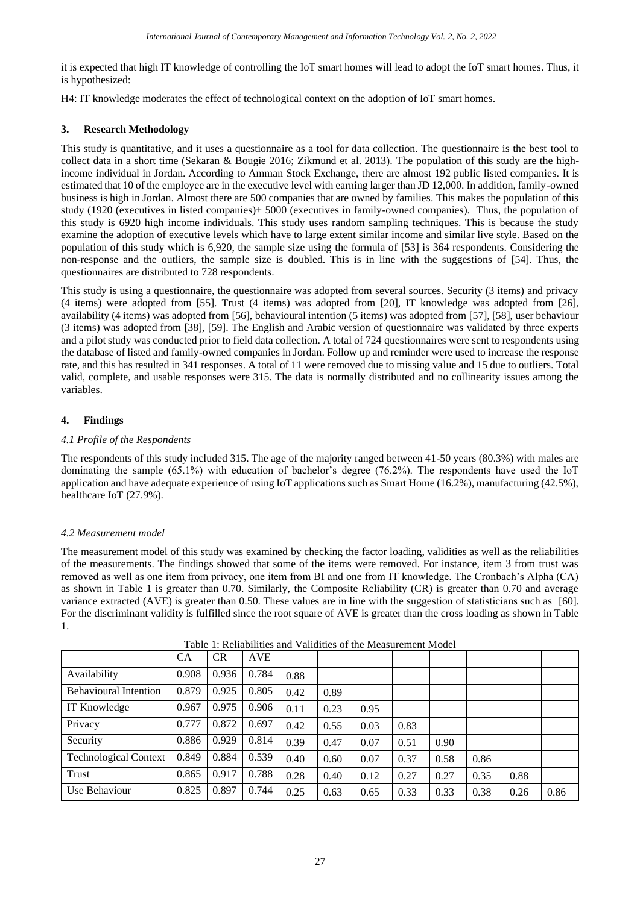it is expected that high IT knowledge of controlling the IoT smart homes will lead to adopt the IoT smart homes. Thus, it is hypothesized:

H4: IT knowledge moderates the effect of technological context on the adoption of IoT smart homes.

## **3. Research Methodology**

This study is quantitative, and it uses a questionnaire as a tool for data collection. The questionnaire is the best tool to collect data in a short time (Sekaran & Bougie 2016; Zikmund et al. 2013). The population of this study are the highincome individual in Jordan. According to Amman Stock Exchange, there are almost 192 public listed companies. It is estimated that 10 of the employee are in the executive level with earning larger than JD 12,000. In addition, family-owned business is high in Jordan. Almost there are 500 companies that are owned by families. This makes the population of this study (1920 (executives in listed companies)+ 5000 (executives in family-owned companies). Thus, the population of this study is 6920 high income individuals. This study uses random sampling techniques. This is because the study examine the adoption of executive levels which have to large extent similar income and similar live style. Based on the population of this study which is 6,920, the sample size using the formula of [53] is 364 respondents. Considering the non-response and the outliers, the sample size is doubled. This is in line with the suggestions of [54]. Thus, the questionnaires are distributed to 728 respondents.

This study is using a questionnaire, the questionnaire was adopted from several sources. Security (3 items) and privacy (4 items) were adopted from [55]. Trust (4 items) was adopted from [20], IT knowledge was adopted from [26], availability (4 items) was adopted from [56], behavioural intention (5 items) was adopted from [57], [58], user behaviour (3 items) was adopted from [38], [59]. The English and Arabic version of questionnaire was validated by three experts and a pilot study was conducted prior to field data collection. A total of 724 questionnaires were sent to respondents using the database of listed and family-owned companies in Jordan. Follow up and reminder were used to increase the response rate, and this has resulted in 341 responses. A total of 11 were removed due to missing value and 15 due to outliers. Total valid, complete, and usable responses were 315. The data is normally distributed and no collinearity issues among the variables.

## **4. Findings**

## *4.1 Profile of the Respondents*

The respondents of this study included 315. The age of the majority ranged between 41-50 years (80.3%) with males are dominating the sample (65.1%) with education of bachelor's degree (76.2%). The respondents have used the IoT application and have adequate experience of using IoT applications such as Smart Home (16.2%), manufacturing (42.5%), healthcare IoT (27.9%).

## *4.2 Measurement model*

The measurement model of this study was examined by checking the factor loading, validities as well as the reliabilities of the measurements. The findings showed that some of the items were removed. For instance, item 3 from trust was removed as well as one item from privacy, one item from BI and one from IT knowledge. The Cronbach's Alpha (CA) as shown in Table 1 is greater than 0.70. Similarly, the Composite Reliability (CR) is greater than 0.70 and average variance extracted (AVE) is greater than 0.50. These values are in line with the suggestion of statisticians such as [60]. For the discriminant validity is fulfilled since the root square of AVE is greater than the cross loading as shown in Table 1.

|                              | <b>CA</b> | <b>CR</b> | <b>AVE</b> |      |      |      |      |      |      |      |      |
|------------------------------|-----------|-----------|------------|------|------|------|------|------|------|------|------|
| Availability                 | 0.908     | 0.936     | 0.784      | 0.88 |      |      |      |      |      |      |      |
| <b>Behavioural Intention</b> | 0.879     | 0.925     | 0.805      | 0.42 | 0.89 |      |      |      |      |      |      |
| IT Knowledge                 | 0.967     | 0.975     | 0.906      | 0.11 | 0.23 | 0.95 |      |      |      |      |      |
| Privacy                      | 0.777     | 0.872     | 0.697      | 0.42 | 0.55 | 0.03 | 0.83 |      |      |      |      |
| Security                     | 0.886     | 0.929     | 0.814      | 0.39 | 0.47 | 0.07 | 0.51 | 0.90 |      |      |      |
| <b>Technological Context</b> | 0.849     | 0.884     | 0.539      | 0.40 | 0.60 | 0.07 | 0.37 | 0.58 | 0.86 |      |      |
| Trust                        | 0.865     | 0.917     | 0.788      | 0.28 | 0.40 | 0.12 | 0.27 | 0.27 | 0.35 | 0.88 |      |
| Use Behaviour                | 0.825     | 0.897     | 0.744      | 0.25 | 0.63 | 0.65 | 0.33 | 0.33 | 0.38 | 0.26 | 0.86 |

Table 1: Reliabilities and Validities of the Measurement Model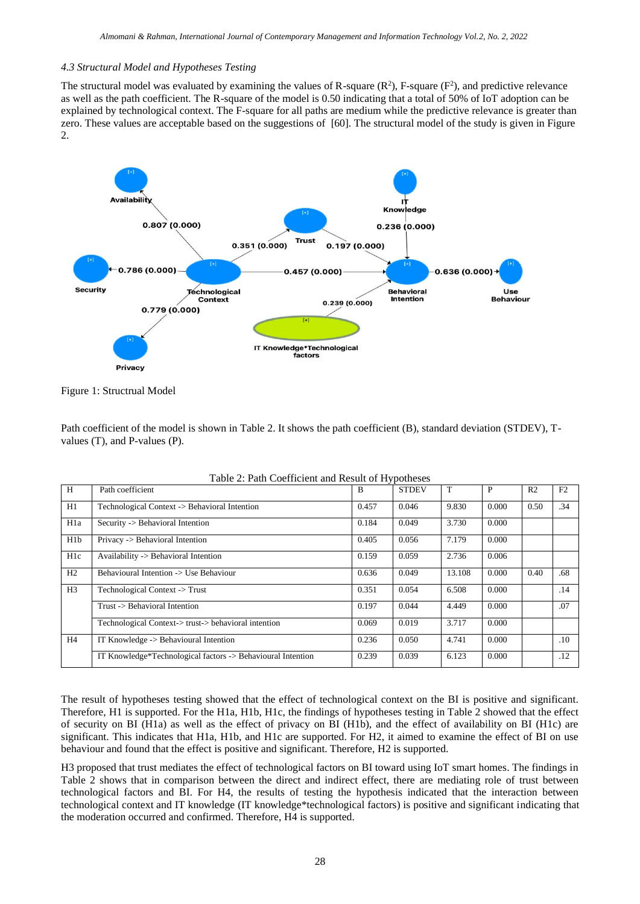#### *4.3 Structural Model and Hypotheses Testing*

The structural model was evaluated by examining the values of R-square  $(R^2)$ , F-square  $(F^2)$ , and predictive relevance as well as the path coefficient. The R-square of the model is 0.50 indicating that a total of 50% of IoT adoption can be explained by technological context. The F-square for all paths are medium while the predictive relevance is greater than zero. These values are acceptable based on the suggestions of [60]. The structural model of the study is given in Figure 2.



Figure 1: Structrual Model

Path coefficient of the model is shown in Table 2. It shows the path coefficient (B), standard deviation (STDEV), Tvalues (T), and P-values (P).

|                  | Tuolo 2. I uuli Cooliitticht und Itobult of II) pothobob    |       |              |        |              |                |     |  |  |
|------------------|-------------------------------------------------------------|-------|--------------|--------|--------------|----------------|-----|--|--|
| H                | Path coefficient                                            | B     | <b>STDEV</b> | T      | $\mathbf{P}$ | R <sub>2</sub> | F2  |  |  |
| H1               | Technological Context -> Behavioral Intention               | 0.457 | 0.046        | 9.830  | 0.000        | 0.50           | .34 |  |  |
| H <sub>1</sub> a | Security -> Behavioral Intention                            | 0.184 | 0.049        | 3.730  | 0.000        |                |     |  |  |
| H1b              | Privacy -> Behavioral Intention                             | 0.405 | 0.056        | 7.179  | 0.000        |                |     |  |  |
| H <sub>1</sub> c | Availability -> Behavioral Intention                        | 0.159 | 0.059        | 2.736  | 0.006        |                |     |  |  |
| H2               | Behavioural Intention -> Use Behaviour                      | 0.636 | 0.049        | 13.108 | 0.000        | 0.40           | .68 |  |  |
| H <sub>3</sub>   | Technological Context -> Trust                              | 0.351 | 0.054        | 6.508  | 0.000        |                | .14 |  |  |
|                  | Trust -> Behavioral Intention                               | 0.197 | 0.044        | 4.449  | 0.000        |                | .07 |  |  |
|                  | Technological Context->trust->behavioral intention          | 0.069 | 0.019        | 3.717  | 0.000        |                |     |  |  |
| H <sub>4</sub>   | IT Knowledge -> Behavioural Intention                       | 0.236 | 0.050        | 4.741  | 0.000        |                | .10 |  |  |
|                  | IT Knowledge*Technological factors -> Behavioural Intention | 0.239 | 0.039        | 6.123  | 0.000        |                | .12 |  |  |

Table 2: Path Coefficient and Result of Hypotheses

The result of hypotheses testing showed that the effect of technological context on the BI is positive and significant. Therefore, H1 is supported. For the H1a, H1b, H1c, the findings of hypotheses testing in Table 2 showed that the effect of security on BI (H1a) as well as the effect of privacy on BI (H1b), and the effect of availability on BI (H1c) are significant. This indicates that H1a, H1b, and H1c are supported. For H2, it aimed to examine the effect of BI on use behaviour and found that the effect is positive and significant. Therefore, H2 is supported.

H3 proposed that trust mediates the effect of technological factors on BI toward using IoT smart homes. The findings in Table 2 shows that in comparison between the direct and indirect effect, there are mediating role of trust between technological factors and BI. For H4, the results of testing the hypothesis indicated that the interaction between technological context and IT knowledge (IT knowledge\*technological factors) is positive and significant indicating that the moderation occurred and confirmed. Therefore, H4 is supported.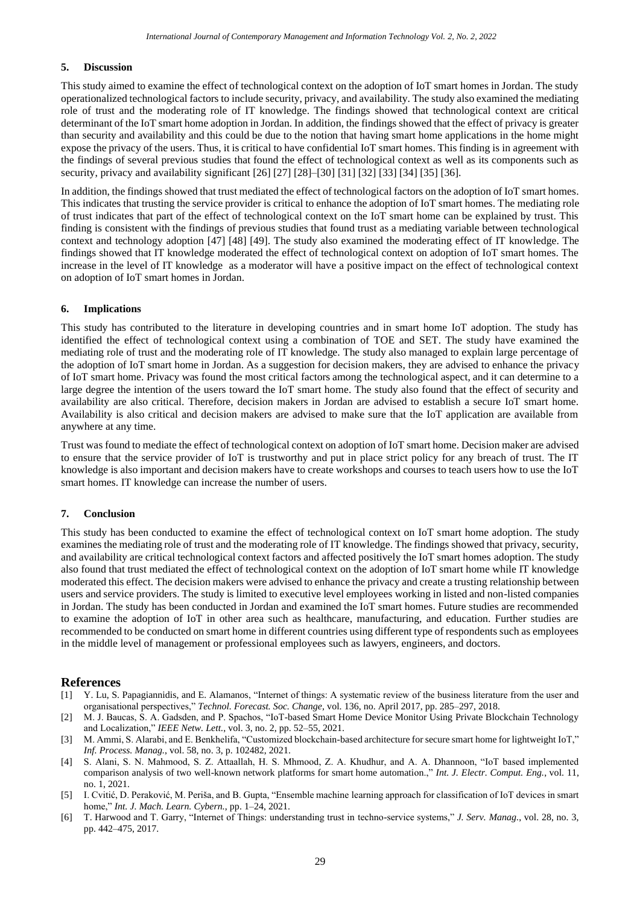## **5. Discussion**

This study aimed to examine the effect of technological context on the adoption of IoT smart homes in Jordan. The study operationalized technological factors to include security, privacy, and availability. The study also examined the mediating role of trust and the moderating role of IT knowledge. The findings showed that technological context are critical determinant of the IoT smart home adoption in Jordan. In addition, the findings showed that the effect of privacy is greater than security and availability and this could be due to the notion that having smart home applications in the home might expose the privacy of the users. Thus, it is critical to have confidential IoT smart homes. This finding is in agreement with the findings of several previous studies that found the effect of technological context as well as its components such as security, privacy and availability significant [26] [27] [28]–[30] [31] [32] [33] [34] [35] [36].

In addition, the findings showed that trust mediated the effect of technological factors on the adoption of IoT smart homes. This indicates that trusting the service provider is critical to enhance the adoption of IoT smart homes. The mediating role of trust indicates that part of the effect of technological context on the IoT smart home can be explained by trust. This finding is consistent with the findings of previous studies that found trust as a mediating variable between technological context and technology adoption [47] [48] [49]. The study also examined the moderating effect of IT knowledge. The findings showed that IT knowledge moderated the effect of technological context on adoption of IoT smart homes. The increase in the level of IT knowledge as a moderator will have a positive impact on the effect of technological context on adoption of IoT smart homes in Jordan.

## **6. Implications**

This study has contributed to the literature in developing countries and in smart home IoT adoption. The study has identified the effect of technological context using a combination of TOE and SET. The study have examined the mediating role of trust and the moderating role of IT knowledge. The study also managed to explain large percentage of the adoption of IoT smart home in Jordan. As a suggestion for decision makers, they are advised to enhance the privacy of IoT smart home. Privacy was found the most critical factors among the technological aspect, and it can determine to a large degree the intention of the users toward the IoT smart home. The study also found that the effect of security and availability are also critical. Therefore, decision makers in Jordan are advised to establish a secure IoT smart home. Availability is also critical and decision makers are advised to make sure that the IoT application are available from anywhere at any time.

Trust was found to mediate the effect of technological context on adoption of IoT smart home. Decision maker are advised to ensure that the service provider of IoT is trustworthy and put in place strict policy for any breach of trust. The IT knowledge is also important and decision makers have to create workshops and courses to teach users how to use the IoT smart homes. IT knowledge can increase the number of users.

## **7. Conclusion**

This study has been conducted to examine the effect of technological context on IoT smart home adoption. The study examines the mediating role of trust and the moderating role of IT knowledge. The findings showed that privacy, security, and availability are critical technological context factors and affected positively the IoT smart homes adoption. The study also found that trust mediated the effect of technological context on the adoption of IoT smart home while IT knowledge moderated this effect. The decision makers were advised to enhance the privacy and create a trusting relationship between users and service providers. The study is limited to executive level employees working in listed and non-listed companies in Jordan. The study has been conducted in Jordan and examined the IoT smart homes. Future studies are recommended to examine the adoption of IoT in other area such as healthcare, manufacturing, and education. Further studies are recommended to be conducted on smart home in different countries using different type of respondents such as employees in the middle level of management or professional employees such as lawyers, engineers, and doctors.

## **References**

- [1] Y. Lu, S. Papagiannidis, and E. Alamanos, "Internet of things: A systematic review of the business literature from the user and organisational perspectives," *Technol. Forecast. Soc. Change*, vol. 136, no. April 2017, pp. 285–297, 2018.
- [2] M. J. Baucas, S. A. Gadsden, and P. Spachos, "IoT-based Smart Home Device Monitor Using Private Blockchain Technology and Localization," *IEEE Netw. Lett.*, vol. 3, no. 2, pp. 52–55, 2021.
- [3] M. Ammi, S. Alarabi, and E. Benkhelifa, "Customized blockchain-based architecture for secure smart home for lightweight IoT," *Inf. Process. Manag.*, vol. 58, no. 3, p. 102482, 2021.
- [4] S. Alani, S. N. Mahmood, S. Z. Attaallah, H. S. Mhmood, Z. A. Khudhur, and A. A. Dhannoon, "IoT based implemented comparison analysis of two well-known network platforms for smart home automation.," *Int. J. Electr. Comput. Eng.*, vol. 11, no. 1, 2021.
- [5] I. Cvitić, D. Peraković, M. Periša, and B. Gupta, "Ensemble machine learning approach for classification of IoT devices in smart home," *Int. J. Mach. Learn. Cybern.*, pp. 1–24, 2021.
- [6] T. Harwood and T. Garry, "Internet of Things: understanding trust in techno-service systems," *J. Serv. Manag.*, vol. 28, no. 3, pp. 442–475, 2017.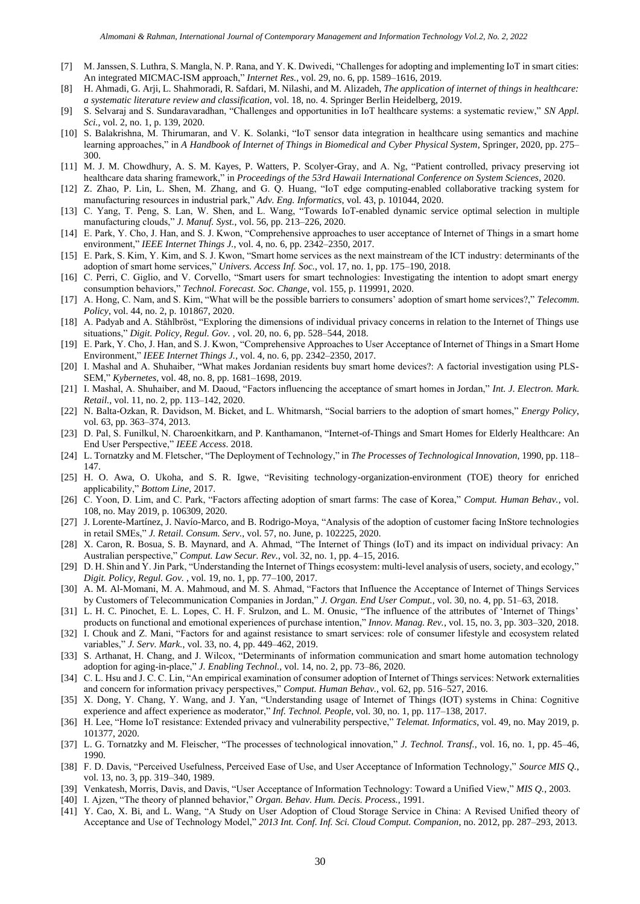- [7] M. Janssen, S. Luthra, S. Mangla, N. P. Rana, and Y. K. Dwivedi, "Challenges for adopting and implementing IoT in smart cities: An integrated MICMAC-ISM approach," *Internet Res.*, vol. 29, no. 6, pp. 1589–1616, 2019.
- [8] H. Ahmadi, G. Arji, L. Shahmoradi, R. Safdari, M. Nilashi, and M. Alizadeh, *The application of internet of things in healthcare: a systematic literature review and classification*, vol. 18, no. 4. Springer Berlin Heidelberg, 2019.
- [9] S. Selvaraj and S. Sundaravaradhan, "Challenges and opportunities in IoT healthcare systems: a systematic review," *SN Appl. Sci.*, vol. 2, no. 1, p. 139, 2020.
- [10] S. Balakrishna, M. Thirumaran, and V. K. Solanki, "IoT sensor data integration in healthcare using semantics and machine learning approaches," in *A Handbook of Internet of Things in Biomedical and Cyber Physical System*, Springer, 2020, pp. 275– 300.
- [11] M. J. M. Chowdhury, A. S. M. Kayes, P. Watters, P. Scolyer-Gray, and A. Ng, "Patient controlled, privacy preserving iot healthcare data sharing framework," in *Proceedings of the 53rd Hawaii International Conference on System Sciences*, 2020.
- [12] Z. Zhao, P. Lin, L. Shen, M. Zhang, and G. Q. Huang, "IoT edge computing-enabled collaborative tracking system for manufacturing resources in industrial park," *Adv. Eng. Informatics*, vol. 43, p. 101044, 2020.
- [13] C. Yang, T. Peng, S. Lan, W. Shen, and L. Wang, "Towards IoT-enabled dynamic service optimal selection in multiple manufacturing clouds," *J. Manuf. Syst.*, vol. 56, pp. 213–226, 2020.
- [14] E. Park, Y. Cho, J. Han, and S. J. Kwon, "Comprehensive approaches to user acceptance of Internet of Things in a smart home environment," *IEEE Internet Things J.*, vol. 4, no. 6, pp. 2342–2350, 2017.
- [15] E. Park, S. Kim, Y. Kim, and S. J. Kwon, "Smart home services as the next mainstream of the ICT industry: determinants of the adoption of smart home services," *Univers. Access Inf. Soc.*, vol. 17, no. 1, pp. 175–190, 2018.
- [16] C. Perri, C. Giglio, and V. Corvello, "Smart users for smart technologies: Investigating the intention to adopt smart energy consumption behaviors," *Technol. Forecast. Soc. Change*, vol. 155, p. 119991, 2020.
- [17] A. Hong, C. Nam, and S. Kim, "What will be the possible barriers to consumers' adoption of smart home services?," *Telecomm. Policy*, vol. 44, no. 2, p. 101867, 2020.
- [18] A. Padyab and A. Ståhlbröst, "Exploring the dimensions of individual privacy concerns in relation to the Internet of Things use situations," *Digit. Policy, Regul. Gov.* , vol. 20, no. 6, pp. 528–544, 2018.
- [19] E. Park, Y. Cho, J. Han, and S. J. Kwon, "Comprehensive Approaches to User Acceptance of Internet of Things in a Smart Home Environment," *IEEE Internet Things J.*, vol. 4, no. 6, pp. 2342–2350, 2017.
- [20] I. Mashal and A. Shuhaiber, "What makes Jordanian residents buy smart home devices?: A factorial investigation using PLS-SEM," *Kybernetes*, vol. 48, no. 8, pp. 1681–1698, 2019.
- [21] I. Mashal, A. Shuhaiber, and M. Daoud, "Factors influencing the acceptance of smart homes in Jordan," *Int. J. Electron. Mark. Retail.*, vol. 11, no. 2, pp. 113–142, 2020.
- [22] N. Balta-Ozkan, R. Davidson, M. Bicket, and L. Whitmarsh, "Social barriers to the adoption of smart homes," *Energy Policy*, vol. 63, pp. 363–374, 2013.
- [23] D. Pal, S. Funilkul, N. Charoenkitkarn, and P. Kanthamanon, "Internet-of-Things and Smart Homes for Elderly Healthcare: An End User Perspective," *IEEE Access*. 2018.
- [24] L. Tornatzky and M. Fletscher, "The Deployment of Technology," in *The Processes of Technological Innovation*, 1990, pp. 118– 147.
- [25] H. O. Awa, O. Ukoha, and S. R. Igwe, "Revisiting technology-organization-environment (TOE) theory for enriched applicability," *Bottom Line*, 2017.
- [26] C. Yoon, D. Lim, and C. Park, "Factors affecting adoption of smart farms: The case of Korea," *Comput. Human Behav.*, vol. 108, no. May 2019, p. 106309, 2020.
- [27] J. Lorente-Martínez, J. Navío-Marco, and B. Rodrigo-Moya, "Analysis of the adoption of customer facing InStore technologies in retail SMEs," *J. Retail. Consum. Serv.*, vol. 57, no. June, p. 102225, 2020.
- [28] X. Caron, R. Bosua, S. B. Maynard, and A. Ahmad, "The Internet of Things (IoT) and its impact on individual privacy: An Australian perspective," *Comput. Law Secur. Rev.*, vol. 32, no. 1, pp. 4–15, 2016.
- [29] D. H. Shin and Y. Jin Park, "Understanding the Internet of Things ecosystem: multi-level analysis of users, society, and ecology," *Digit. Policy, Regul. Gov.* , vol. 19, no. 1, pp. 77–100, 2017.
- [30] A. M. Al-Momani, M. A. Mahmoud, and M. S. Ahmad, "Factors that Influence the Acceptance of Internet of Things Services by Customers of Telecommunication Companies in Jordan," *J. Organ. End User Comput.*, vol. 30, no. 4, pp. 51–63, 2018.
- [31] L. H. C. Pinochet, E. L. Lopes, C. H. F. Srulzon, and L. M. Onusic, "The influence of the attributes of 'Internet of Things' products on functional and emotional experiences of purchase intention," *Innov. Manag. Rev.*, vol. 15, no. 3, pp. 303–320, 2018.
- [32] I. Chouk and Z. Mani, "Factors for and against resistance to smart services: role of consumer lifestyle and ecosystem related variables," *J. Serv. Mark.*, vol. 33, no. 4, pp. 449–462, 2019.
- [33] S. Arthanat, H. Chang, and J. Wilcox, "Determinants of information communication and smart home automation technology adoption for aging-in-place," *J. Enabling Technol.*, vol. 14, no. 2, pp. 73–86, 2020.
- [34] C. L. Hsu and J. C. C. Lin, "An empirical examination of consumer adoption of Internet of Things services: Network externalities and concern for information privacy perspectives," *Comput. Human Behav.*, vol. 62, pp. 516–527, 2016.
- [35] X. Dong, Y. Chang, Y. Wang, and J. Yan, "Understanding usage of Internet of Things (IOT) systems in China: Cognitive experience and affect experience as moderator," *Inf. Technol. People*, vol. 30, no. 1, pp. 117–138, 2017.
- [36] H. Lee, "Home IoT resistance: Extended privacy and vulnerability perspective," *Telemat. Informatics*, vol. 49, no. May 2019, p. 101377, 2020.
- [37] L. G. Tornatzky and M. Fleischer, "The processes of technological innovation," *J. Technol. Transf.*, vol. 16, no. 1, pp. 45–46, 1990.
- [38] F. D. Davis, "Perceived Usefulness, Perceived Ease of Use, and User Acceptance of Information Technology," *Source MIS Q.*, vol. 13, no. 3, pp. 319–340, 1989.
- [39] Venkatesh, Morris, Davis, and Davis, "User Acceptance of Information Technology: Toward a Unified View," *MIS Q.*, 2003.
- [40] I. Ajzen, "The theory of planned behavior," *Organ. Behav. Hum. Decis. Process.*, 1991.
- [41] Y. Cao, X. Bi, and L. Wang, "A Study on User Adoption of Cloud Storage Service in China: A Revised Unified theory of Acceptance and Use of Technology Model," *2013 Int. Conf. Inf. Sci. Cloud Comput. Companion*, no. 2012, pp. 287–293, 2013.